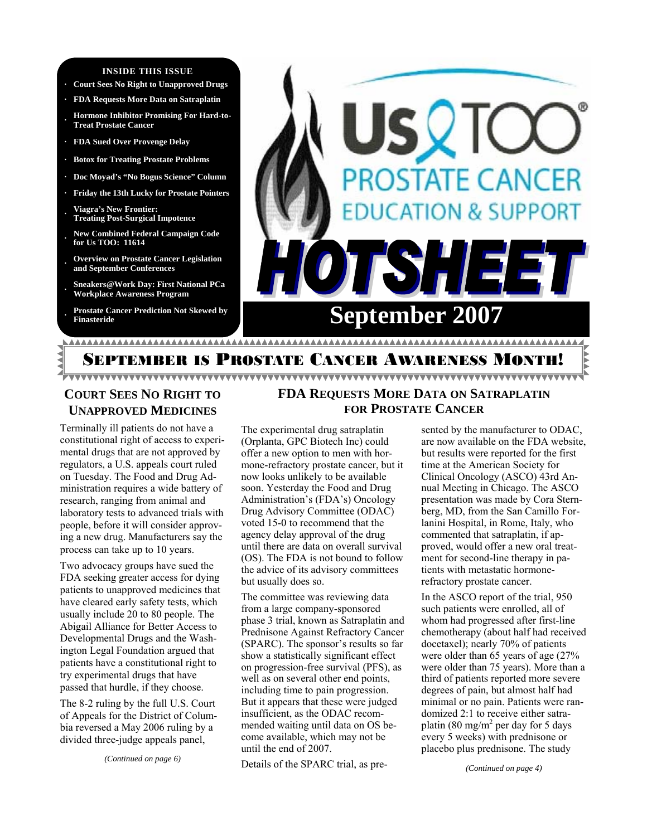#### **INSIDE THIS ISSUE**

- **· Court Sees No Right to Unapproved Drugs**
- **· FDA Requests More Data on Satraplatin**
- **· Hormone Inhibitor Promising For Hard-to-Treat Prostate Cancer**
- **· FDA Sued Over Provenge Delay**
- **· Botox for Treating Prostate Problems**
- **· Doc Moyad's "No Bogus Science" Column**
- **· Friday the 13th Lucky for Prostate Pointers**
- **· Viagra's New Frontier: Treating Post-Surgical Impotence**
- **· New Combined Federal Campaign Code for Us TOO: 11614**
- **· Overview on Prostate Cancer Legislation and September Conferences**
- **· Sneakers@Work Day: First National PCa Workplace Awareness Program**
- **· Prostate Cancer Prediction Not Skewed by**



# **COURT SEES NO RIGHT TO UNAPPROVED MEDICINES**

Terminally ill patients do not have a constitutional right of access to experimental drugs that are not approved by regulators, a U.S. appeals court ruled on Tuesday. The Food and Drug Administration requires a wide battery of research, ranging from animal and laboratory tests to advanced trials with people, before it will consider approving a new drug. Manufacturers say the process can take up to 10 years.

Two advocacy groups have sued the FDA seeking greater access for dying patients to unapproved medicines that have cleared early safety tests, which usually include 20 to 80 people. The Abigail Alliance for Better Access to Developmental Drugs and the Washington Legal Foundation argued that patients have a constitutional right to try experimental drugs that have passed that hurdle, if they choose.

The 8-2 ruling by the full U.S. Court of Appeals for the District of Columbia reversed a May 2006 ruling by a divided three-judge appeals panel,

*(Continued on page 6)* 

# **FDA REQUESTS MORE DATA ON SATRAPLATIN FOR PROSTATE CANCER**

The experimental drug satraplatin (Orplanta, GPC Biotech Inc) could offer a new option to men with hormone-refractory prostate cancer, but it now looks unlikely to be available soon. Yesterday the Food and Drug Administration's (FDA's) Oncology Drug Advisory Committee (ODAC) voted 15-0 to recommend that the agency delay approval of the drug until there are data on overall survival (OS). The FDA is not bound to follow the advice of its advisory committees but usually does so.

The committee was reviewing data from a large company-sponsored phase 3 trial, known as Satraplatin and Prednisone Against Refractory Cancer (SPARC). The sponsor's results so far show a statistically significant effect on progression-free survival (PFS), as well as on several other end points, including time to pain progression. But it appears that these were judged insufficient, as the ODAC recommended waiting until data on OS become available, which may not be until the end of 2007.

Details of the SPARC trial, as pre-

sented by the manufacturer to ODAC, are now available on the FDA website, but results were reported for the first time at the American Society for Clinical Oncology (ASCO) 43rd Annual Meeting in Chicago. The ASCO presentation was made by Cora Sternberg, MD, from the San Camillo Forlanini Hospital, in Rome, Italy, who commented that satraplatin, if approved, would offer a new oral treatment for second-line therapy in patients with metastatic hormonerefractory prostate cancer.

In the ASCO report of the trial, 950 such patients were enrolled, all of whom had progressed after first-line chemotherapy (about half had received docetaxel); nearly 70% of patients were older than 65 years of age (27% were older than 75 years). More than a third of patients reported more severe degrees of pain, but almost half had minimal or no pain. Patients were randomized 2:1 to receive either satraplatin (80 mg/m<sup>2</sup> per day for 5 days every 5 weeks) with prednisone or placebo plus prednisone. The study

*(Continued on page 4)*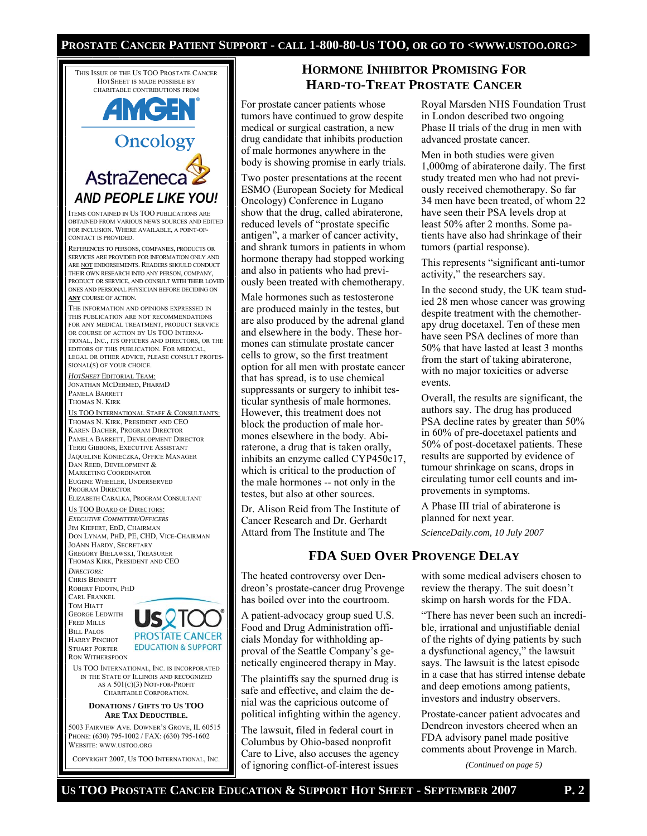#### **PROSTATE CANCER PATIENT SUPPORT - CALL 1-800-80-US TOO, OR GO TO <WWW.USTOO.ORG>**

THIS ISSUE OF THE US TOO PROSTATE CANCER HOTSHEET IS MADE POSSIBLE BY CHARITABLE CONTRIBUTIONS FROM

# **AMGEN Oncology** AstraZeneca *AND PEOPLE LIKE YOU!*

ITEMS CONTAINED IN US TOO PUBLICATIONS ARE OBTAINED FROM VARIOUS NEWS SOURCES AND EDITED FOR INCLUSION. WHERE AVAILABLE, A POINT-OF-CONTACT IS PROVIDED.

REFERENCES TO PERSONS, COMPANIES, PRODUCTS OR SERVICES ARE PROVIDED FOR INFORMATION ONLY AND ARE NOT ENDORSEMENTS. READERS SHOULD CONDUCT THEIR OWN RESEARCH INTO ANY PERSON, COMPANY, PRODUCT OR SERVICE, AND CONSULT WITH THEIR LOVED ONES AND PERSONAL PHYSICIAN BEFORE DECIDING ON **ANY** COURSE OF ACTION.

THE INFORMATION AND OPINIONS EXPRESSED IN THIS PUBLICATION ARE NOT RECOMMENDATIONS FOR ANY MEDICAL TREATMENT, PRODUCT SERVICE OR COURSE OF ACTION BY US TOO INTERNA-TIONAL, INC., ITS OFFICERS AND DIRECTORS, OR THE EDITORS OF THIS PUBLICATION. FOR MEDICAL, LEGAL OR OTHER ADVICE, PLEASE CONSULT PROFES-SIONAL(S) OF YOUR CHOICE.

*HOTSHEET* EDITORIAL TEAM: JONATHAN MCDERMED, PHARMD PAMELA BARRETT THOMAS N. KIRK

US TOO INTERNATIONAL STAFF & CONSULTANTS: THOMAS N. KIRK, PRESIDENT AND CEO KAREN BACHER, PROGRAM DIRECTOR PAMELA BARRETT, DEVELOPMENT DIRECTOR TERRI GIBBONS, EXECUTIVE ASSISTANT JAQUELINE KONIECZKA, OFFICE MANAGER DAN REED, DEVELOPMENT & MARKETING COORDINATOR EUGENE WHEELER, UNDERSERVED PROGRAM DIRECTOR ELIZABETH CABALKA, PROGRAM CONSULTANT

#### US TOO BOARD OF DIRECTORS: *EXECUTIVE COMMITTEE/OFFICERS*

JIM KIEFERT, EDD, CHAIRMAN DON LYNAM, PHD, PE, CHD, VICE-CHAIRMAN JOANN HARDY, SECRETARY GREGORY BIELAWSKI, TREASURER THOMAS KIRK, PRESIDENT AND CEO *DIRECTORS:*  CHRIS BENNETT ROBERT FIDOTN, PHD CARL FRANKEL TOM HIATT

GEORGE LEDWITH FRED MILLS BILL PALOS HARRY PINCHOT STUART PORTER RON WITHERSPOON



US TOO INTERNATIONAL, INC. IS INCORPORATED IN THE STATE OF ILLINOIS AND RECOGNIZED AS A 501(C)(3) NOT-FOR-PROFIT CHARITABLE CORPORATION.

#### **DONATIONS / GIFTS TO US TOO ARE TAX DEDUCTIBLE.**

5003 FAIRVIEW AVE. DOWNER'S GROVE, IL 60515 PHONE: (630) 795-1002 / FAX: (630) 795-1602 WEBSITE: WWW.USTOO.ORG

COPYRIGHT 2007, US TOO INTERNATIONAL, INC.

# **HORMONE INHIBITOR PROMISING FOR HARD-TO-TREAT PROSTATE CANCER**

For prostate cancer patients whose tumors have continued to grow despite medical or surgical castration, a new drug candidate that inhibits production of male hormones anywhere in the body is showing promise in early trials.

Two poster presentations at the recent ESMO (European Society for Medical Oncology) Conference in Lugano show that the drug, called abiraterone, reduced levels of "prostate specific antigen", a marker of cancer activity, and shrank tumors in patients in whom hormone therapy had stopped working and also in patients who had previously been treated with chemotherapy.

Male hormones such as testosterone are produced mainly in the testes, but are also produced by the adrenal gland and elsewhere in the body. These hormones can stimulate prostate cancer cells to grow, so the first treatment option for all men with prostate cancer that has spread, is to use chemical suppressants or surgery to inhibit testicular synthesis of male hormones. However, this treatment does not block the production of male hormones elsewhere in the body. Abiraterone, a drug that is taken orally, inhibits an enzyme called CYP450c17, which is critical to the production of the male hormones -- not only in the testes, but also at other sources.

Dr. Alison Reid from The Institute of Cancer Research and Dr. Gerhardt Attard from The Institute and The

Royal Marsden NHS Foundation Trust in London described two ongoing Phase II trials of the drug in men with advanced prostate cancer.

Men in both studies were given 1,000mg of abiraterone daily. The first study treated men who had not previously received chemotherapy. So far 34 men have been treated, of whom 22 have seen their PSA levels drop at least 50% after 2 months. Some patients have also had shrinkage of their tumors (partial response).

This represents "significant anti-tumor activity," the researchers say.

In the second study, the UK team studied 28 men whose cancer was growing despite treatment with the chemotherapy drug docetaxel. Ten of these men have seen PSA declines of more than 50% that have lasted at least 3 months from the start of taking abiraterone, with no major toxicities or adverse events.

Overall, the results are significant, the authors say. The drug has produced PSA decline rates by greater than 50% in 60% of pre-docetaxel patients and 50% of post-docetaxel patients. These results are supported by evidence of tumour shrinkage on scans, drops in circulating tumor cell counts and improvements in symptoms.

A Phase III trial of abiraterone is planned for next year. *ScienceDaily.com, 10 July 2007* 

## **FDA SUED OVER PROVENGE DELAY**

The heated controversy over Dendreon's prostate-cancer drug Provenge has boiled over into the courtroom.

A patient-advocacy group sued U.S. Food and Drug Administration officials Monday for withholding approval of the Seattle Company's genetically engineered therapy in May.

The plaintiffs say the spurned drug is safe and effective, and claim the denial was the capricious outcome of political infighting within the agency.

The lawsuit, filed in federal court in Columbus by Ohio-based nonprofit Care to Live, also accuses the agency of ignoring conflict-of-interest issues

with some medical advisers chosen to review the therapy. The suit doesn't skimp on harsh words for the FDA.

"There has never been such an incredible, irrational and unjustifiable denial of the rights of dying patients by such a dysfunctional agency," the lawsuit says. The lawsuit is the latest episode in a case that has stirred intense debate and deep emotions among patients, investors and industry observers.

Prostate-cancer patient advocates and Dendreon investors cheered when an FDA advisory panel made positive comments about Provenge in March.

*(Continued on page 5)*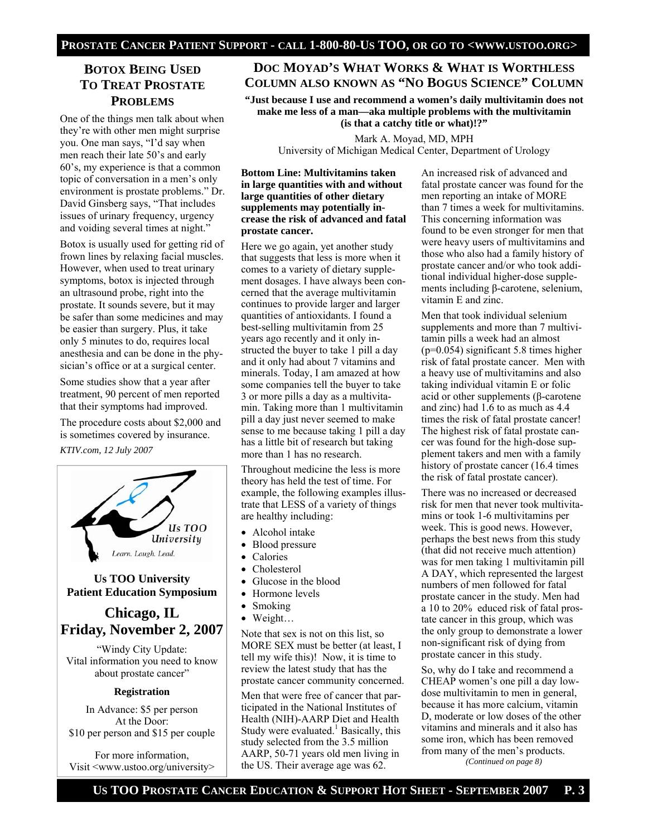# **BOTOX BEING USED TO TREAT PROSTATE PROBLEMS**

One of the things men talk about when they're with other men might surprise you. One man says, "I'd say when men reach their late 50's and early 60's, my experience is that a common topic of conversation in a men's only environment is prostate problems." Dr. David Ginsberg says, "That includes issues of urinary frequency, urgency and voiding several times at night."

Botox is usually used for getting rid of frown lines by relaxing facial muscles. However, when used to treat urinary symptoms, botox is injected through an ultrasound probe, right into the prostate. It sounds severe, but it may be safer than some medicines and may be easier than surgery. Plus, it take only 5 minutes to do, requires local anesthesia and can be done in the physician's office or at a surgical center.

Some studies show that a year after treatment, 90 percent of men reported that their symptoms had improved.

The procedure costs about \$2,000 and is sometimes covered by insurance.

*KTIV.com, 12 July 2007* 



### **Us TOO University Patient Education Symposium**

# **Chicago, IL Friday, November 2, 2007**

"Windy City Update: Vital information you need to know about prostate cancer"

#### **Registration**

In Advance: \$5 per person At the Door: \$10 per person and \$15 per couple

For more information, Visit <www.ustoo.org/university>

## **DOC MOYAD'S WHAT WORKS & WHAT IS WORTHLESS COLUMN ALSO KNOWN AS "NO BOGUS SCIENCE" COLUMN**

**"Just because I use and recommend a women's daily multivitamin does not make me less of a man—aka multiple problems with the multivitamin (is that a catchy title or what)!?"** 

Mark A. Moyad, MD, MPH University of Michigan Medical Center, Department of Urology

#### **Bottom Line: Multivitamins taken in large quantities with and without large quantities of other dietary supplements may potentially increase the risk of advanced and fatal prostate cancer.**

Here we go again, yet another study that suggests that less is more when it comes to a variety of dietary supplement dosages. I have always been concerned that the average multivitamin continues to provide larger and larger quantities of antioxidants. I found a best-selling multivitamin from 25 years ago recently and it only instructed the buyer to take 1 pill a day and it only had about 7 vitamins and minerals. Today, I am amazed at how some companies tell the buyer to take 3 or more pills a day as a multivitamin. Taking more than 1 multivitamin pill a day just never seemed to make sense to me because taking 1 pill a day has a little bit of research but taking more than 1 has no research.

Throughout medicine the less is more theory has held the test of time. For example, the following examples illustrate that LESS of a variety of things are healthy including:

- Alcohol intake
- Blood pressure
- Calories
- Cholesterol
- Glucose in the blood
- Hormone levels
- Smoking
- Weight…

Note that sex is not on this list, so MORE SEX must be better (at least, I tell my wife this)! Now, it is time to review the latest study that has the prostate cancer community concerned.

Men that were free of cancer that participated in the National Institutes of Health (NIH)-AARP Diet and Health Study were evaluated.<sup>1</sup> Basically, this study selected from the 3.5 million AARP, 50-71 years old men living in the US. Their average age was 62.

An increased risk of advanced and fatal prostate cancer was found for the men reporting an intake of MORE than 7 times a week for multivitamins. This concerning information was found to be even stronger for men that were heavy users of multivitamins and those who also had a family history of prostate cancer and/or who took additional individual higher-dose supplements including β-carotene, selenium, vitamin E and zinc.

Men that took individual selenium supplements and more than 7 multivitamin pills a week had an almost (p=0.054) significant 5.8 times higher risk of fatal prostate cancer. Men with a heavy use of multivitamins and also taking individual vitamin E or folic acid or other supplements (β-carotene and zinc) had 1.6 to as much as 4.4 times the risk of fatal prostate cancer! The highest risk of fatal prostate cancer was found for the high-dose supplement takers and men with a family history of prostate cancer (16.4 times the risk of fatal prostate cancer).

There was no increased or decreased risk for men that never took multivitamins or took 1-6 multivitamins per week. This is good news. However, perhaps the best news from this study (that did not receive much attention) was for men taking 1 multivitamin pill A DAY, which represented the largest numbers of men followed for fatal prostate cancer in the study. Men had a 10 to 20% educed risk of fatal prostate cancer in this group, which was the only group to demonstrate a lower non-significant risk of dying from prostate cancer in this study.

So, why do I take and recommend a CHEAP women's one pill a day lowdose multivitamin to men in general, because it has more calcium, vitamin D, moderate or low doses of the other vitamins and minerals and it also has some iron, which has been removed from many of the men's products. *(Continued on page 8)*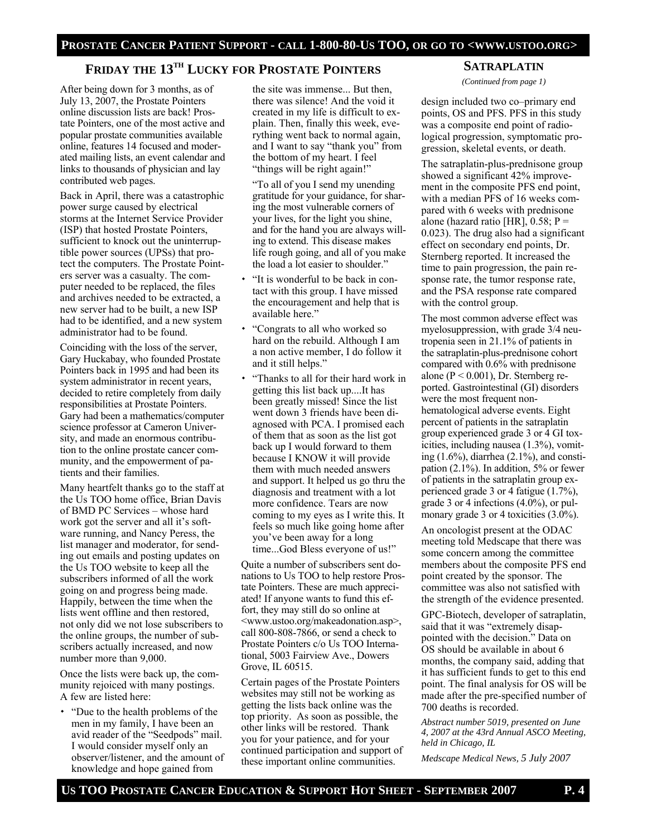## **FRIDAY THE 13TH LUCKY FOR PROSTATE POINTERS**

After being down for 3 months, as of July 13, 2007, the Prostate Pointers online discussion lists are back! Prostate Pointers, one of the most active and popular prostate communities available online, features 14 focused and moderated mailing lists, an event calendar and links to thousands of physician and lay contributed web pages.

Back in April, there was a catastrophic power surge caused by electrical storms at the Internet Service Provider (ISP) that hosted Prostate Pointers, sufficient to knock out the uninterruptible power sources (UPSs) that protect the computers. The Prostate Pointers server was a casualty. The computer needed to be replaced, the files and archives needed to be extracted, a new server had to be built, a new ISP had to be identified, and a new system administrator had to be found.

Coinciding with the loss of the server, Gary Huckabay, who founded Prostate Pointers back in 1995 and had been its system administrator in recent years, decided to retire completely from daily responsibilities at Prostate Pointers. Gary had been a mathematics/computer science professor at Cameron University, and made an enormous contribution to the online prostate cancer community, and the empowerment of patients and their families.

Many heartfelt thanks go to the staff at the Us TOO home office, Brian Davis of BMD PC Services – whose hard work got the server and all it's software running, and Nancy Peress, the list manager and moderator, for sending out emails and posting updates on the Us TOO website to keep all the subscribers informed of all the work going on and progress being made. Happily, between the time when the lists went offline and then restored, not only did we not lose subscribers to the online groups, the number of subscribers actually increased, and now number more than 9,000.

Once the lists were back up, the community rejoiced with many postings. A few are listed here:

 "Due to the health problems of the men in my family, I have been an avid reader of the "Seedpods" mail. I would consider myself only an observer/listener, and the amount of knowledge and hope gained from

the site was immense... But then, there was silence! And the void it created in my life is difficult to explain. Then, finally this week, everything went back to normal again, and I want to say "thank you" from the bottom of my heart. I feel "things will be right again!"

"To all of you I send my unending gratitude for your guidance, for sharing the most vulnerable corners of your lives, for the light you shine, and for the hand you are always willing to extend. This disease makes life rough going, and all of you make the load a lot easier to shoulder."

- "It is wonderful to be back in contact with this group. I have missed the encouragement and help that is available here."
- "Congrats to all who worked so hard on the rebuild. Although I am a non active member, I do follow it and it still helps."
- "Thanks to all for their hard work in getting this list back up....It has been greatly missed! Since the list went down 3 friends have been diagnosed with PCA. I promised each of them that as soon as the list got back up I would forward to them because I KNOW it will provide them with much needed answers and support. It helped us go thru the diagnosis and treatment with a lot more confidence. Tears are now coming to my eyes as I write this. It feels so much like going home after you've been away for a long time...God Bless everyone of us!"

Quite a number of subscribers sent donations to Us TOO to help restore Prostate Pointers. These are much appreciated! If anyone wants to fund this effort, they may still do so online at <www.ustoo.org/makeadonation.asp>, call 800-808-7866, or send a check to Prostate Pointers c/o Us TOO International, 5003 Fairview Ave., Dowers Grove, IL 60515.

Certain pages of the Prostate Pointers websites may still not be working as getting the lists back online was the top priority. As soon as possible, the other links will be restored. Thank you for your patience, and for your continued participation and support of these important online communities.

**SATRAPLATIN**

*(Continued from page 1)* 

design included two co–primary end points, OS and PFS. PFS in this study was a composite end point of radiological progression, symptomatic progression, skeletal events, or death.

The satraplatin-plus-prednisone group showed a significant 42% improvement in the composite PFS end point, with a median PFS of 16 weeks compared with 6 weeks with prednisone alone (hazard ratio [HR],  $0.58$ ; P = 0.023). The drug also had a significant effect on secondary end points, Dr. Sternberg reported. It increased the time to pain progression, the pain response rate, the tumor response rate, and the PSA response rate compared with the control group.

The most common adverse effect was myelosuppression, with grade 3/4 neutropenia seen in 21.1% of patients in the satraplatin-plus-prednisone cohort compared with 0.6% with prednisone alone ( $P < 0.001$ ), Dr. Sternberg reported. Gastrointestinal (GI) disorders were the most frequent nonhematological adverse events. Eight percent of patients in the satraplatin group experienced grade 3 or 4 GI toxicities, including nausea (1.3%), vomiting  $(1.6\%)$ , diarrhea  $(2.1\%)$ , and constipation  $(2.1\%)$ . In addition, 5% or fewer of patients in the satraplatin group experienced grade 3 or 4 fatigue (1.7%), grade 3 or 4 infections (4.0%), or pulmonary grade 3 or 4 toxicities  $(3.0\%)$ .

An oncologist present at the ODAC meeting told Medscape that there was some concern among the committee members about the composite PFS end point created by the sponsor. The committee was also not satisfied with the strength of the evidence presented.

GPC-Biotech, developer of satraplatin, said that it was "extremely disappointed with the decision." Data on OS should be available in about 6 months, the company said, adding that it has sufficient funds to get to this end point. The final analysis for OS will be made after the pre-specified number of 700 deaths is recorded.

*Abstract number 5019, presented on June 4, 2007 at the 43rd Annual ASCO Meeting, held in Chicago, IL* 

*Medscape Medical News, 5 July 2007*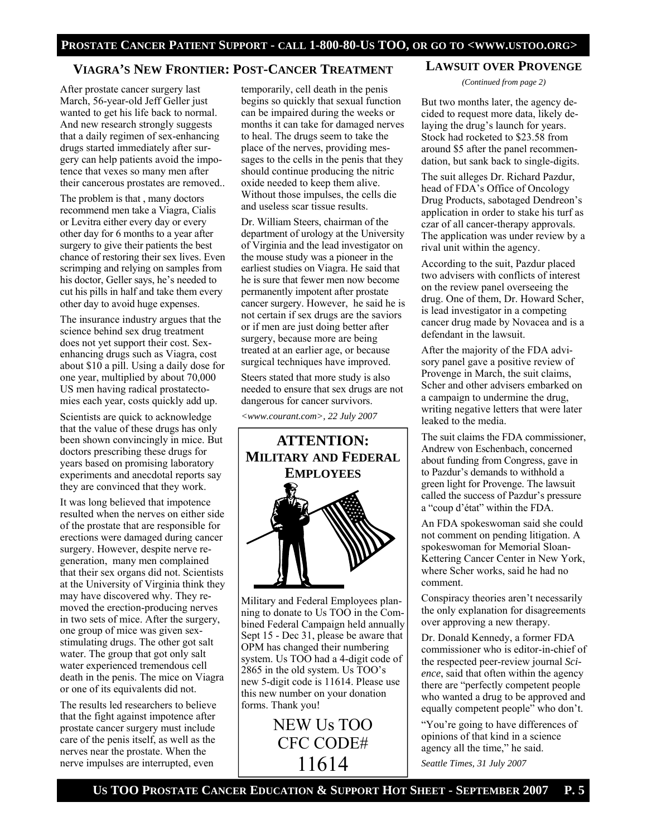## **VIAGRA'S NEW FRONTIER: POST-CANCER TREATMENT**

After prostate cancer surgery last March, 56-year-old Jeff Geller just wanted to get his life back to normal. And new research strongly suggests that a daily regimen of sex-enhancing drugs started immediately after surgery can help patients avoid the impotence that vexes so many men after their cancerous prostates are removed..

The problem is that , many doctors recommend men take a Viagra, Cialis or Levitra either every day or every other day for 6 months to a year after surgery to give their patients the best chance of restoring their sex lives. Even scrimping and relying on samples from his doctor, Geller says, he's needed to cut his pills in half and take them every other day to avoid huge expenses.

The insurance industry argues that the science behind sex drug treatment does not yet support their cost. Sexenhancing drugs such as Viagra, cost about \$10 a pill. Using a daily dose for one year, multiplied by about 70,000 US men having radical prostatectomies each year, costs quickly add up.

Scientists are quick to acknowledge that the value of these drugs has only been shown convincingly in mice. But doctors prescribing these drugs for years based on promising laboratory experiments and anecdotal reports say they are convinced that they work.

It was long believed that impotence resulted when the nerves on either side of the prostate that are responsible for erections were damaged during cancer surgery. However, despite nerve regeneration, many men complained that their sex organs did not. Scientists at the University of Virginia think they may have discovered why. They removed the erection-producing nerves in two sets of mice. After the surgery, one group of mice was given sexstimulating drugs. The other got salt water. The group that got only salt water experienced tremendous cell death in the penis. The mice on Viagra or one of its equivalents did not.

The results led researchers to believe that the fight against impotence after prostate cancer surgery must include care of the penis itself, as well as the nerves near the prostate. When the nerve impulses are interrupted, even

temporarily, cell death in the penis begins so quickly that sexual function can be impaired during the weeks or months it can take for damaged nerves to heal. The drugs seem to take the place of the nerves, providing messages to the cells in the penis that they should continue producing the nitric oxide needed to keep them alive. Without those impulses, the cells die and useless scar tissue results.

Dr. William Steers, chairman of the department of urology at the University of Virginia and the lead investigator on the mouse study was a pioneer in the earliest studies on Viagra. He said that he is sure that fewer men now become permanently impotent after prostate cancer surgery. However, he said he is not certain if sex drugs are the saviors or if men are just doing better after surgery, because more are being treated at an earlier age, or because surgical techniques have improved.

Steers stated that more study is also needed to ensure that sex drugs are not dangerous for cancer survivors.

*<www.courant.com>, 22 July 2007* 



Military and Federal Employees planning to donate to Us TOO in the Combined Federal Campaign held annually Sept 15 - Dec 31, please be aware that OPM has changed their numbering system. Us TOO had a 4-digit code of 2865 in the old system. Us TOO's new 5-digit code is 11614. Please use this new number on your donation forms. Thank you!

> NEW Us TOO CFC CODE# 11614

### **LAWSUIT OVER PROVENGE**

*(Continued from page 2)* 

But two months later, the agency decided to request more data, likely delaying the drug's launch for years. Stock had rocketed to \$23.58 from around \$5 after the panel recommendation, but sank back to single-digits.

The suit alleges Dr. Richard Pazdur, head of FDA's Office of Oncology Drug Products, sabotaged Dendreon's application in order to stake his turf as czar of all cancer-therapy approvals. The application was under review by a rival unit within the agency.

According to the suit, Pazdur placed two advisers with conflicts of interest on the review panel overseeing the drug. One of them, Dr. Howard Scher, is lead investigator in a competing cancer drug made by Novacea and is a defendant in the lawsuit.

After the majority of the FDA advisory panel gave a positive review of Provenge in March, the suit claims, Scher and other advisers embarked on a campaign to undermine the drug, writing negative letters that were later leaked to the media.

The suit claims the FDA commissioner, Andrew von Eschenbach, concerned about funding from Congress, gave in to Pazdur's demands to withhold a green light for Provenge. The lawsuit called the success of Pazdur's pressure a "coup d'état" within the FDA.

An FDA spokeswoman said she could not comment on pending litigation. A spokeswoman for Memorial Sloan-Kettering Cancer Center in New York, where Scher works, said he had no comment.

Conspiracy theories aren't necessarily the only explanation for disagreements over approving a new therapy.

Dr. Donald Kennedy, a former FDA commissioner who is editor-in-chief of the respected peer-review journal *Science*, said that often within the agency there are "perfectly competent people who wanted a drug to be approved and equally competent people" who don't.

"You're going to have differences of opinions of that kind in a science agency all the time," he said. *Seattle Times, 31 July 2007*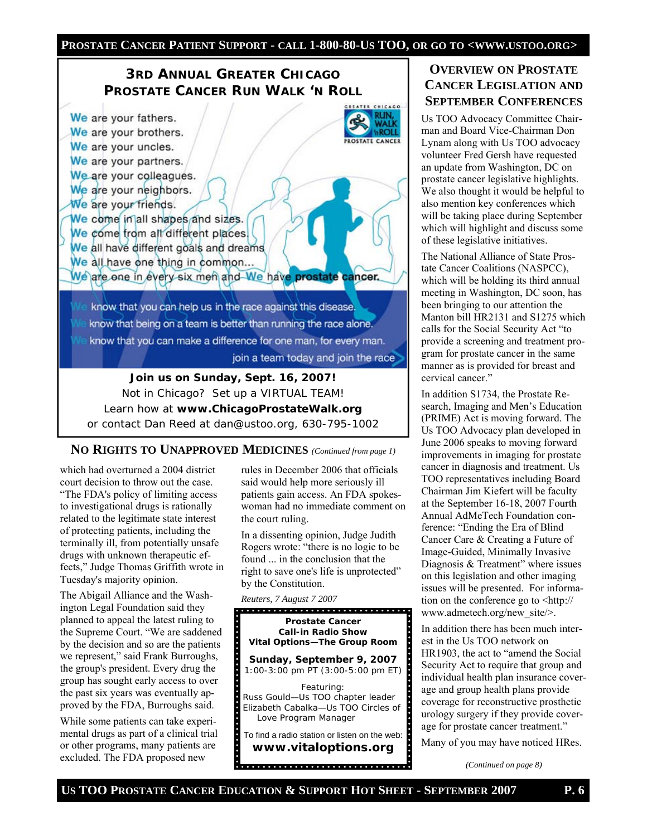### **PROSTATE CANCER PATIENT SUPPORT - CALL 1-800-80-US TOO, OR GO TO <WWW.USTOO.ORG>**

# **3RD ANNUAL GREATER CHICAGO PROSTATE CANCER RUN WALK 'N ROLL**

CHICAGO We are your fathers. We are your brothers. - POLI PROSTATE CANCER We are your uncles. We are your partners. We are your colleagues. We are your neighbors. We are your friends. We come in all shapes and sizes. We come from all different places. We all have different goals and dreams We all have one thing in common... We are one in every six men and We have prostate cancer. know that you can help us in the race against this disease. know that being on a team is better than running the race alone. know that you can make a difference for one man, for every man. join a team today and join the race

**Join us on Sunday, Sept. 16, 2007!**  Not in Chicago? Set up a VIRTUAL TEAM! Learn how at **www.ChicagoProstateWalk.org**  or contact Dan Reed at dan@ustoo.org, 630-795-1002

#### **NO RIGHTS TO UNAPPROVED MEDICINES** *(Continued from page 1)*

which had overturned a 2004 district court decision to throw out the case. "The FDA's policy of limiting access to investigational drugs is rationally related to the legitimate state interest of protecting patients, including the terminally ill, from potentially unsafe drugs with unknown therapeutic effects," Judge Thomas Griffith wrote in Tuesday's majority opinion.

The Abigail Alliance and the Washington Legal Foundation said they planned to appeal the latest ruling to the Supreme Court. "We are saddened by the decision and so are the patients we represent," said Frank Burroughs, the group's president. Every drug the group has sought early access to over the past six years was eventually approved by the FDA, Burroughs said.

While some patients can take experimental drugs as part of a clinical trial or other programs, many patients are excluded. The FDA proposed new

rules in December 2006 that officials said would help more seriously ill patients gain access. An FDA spokeswoman had no immediate comment on the court ruling.

In a dissenting opinion, Judge Judith Rogers wrote: "there is no logic to be found ... in the conclusion that the right to save one's life is unprotected" by the Constitution.



# **OVERVIEW ON PROSTATE CANCER LEGISLATION AND SEPTEMBER CONFERENCES**

Us TOO Advocacy Committee Chairman and Board Vice-Chairman Don Lynam along with Us TOO advocacy volunteer Fred Gersh have requested an update from Washington, DC on prostate cancer legislative highlights. We also thought it would be helpful to also mention key conferences which will be taking place during September which will highlight and discuss some of these legislative initiatives.

The National Alliance of State Prostate Cancer Coalitions (NASPCC), which will be holding its third annual meeting in Washington, DC soon, has been bringing to our attention the Manton bill HR2131 and S1275 which calls for the Social Security Act "to provide a screening and treatment program for prostate cancer in the same manner as is provided for breast and cervical cancer."

In addition S1734, the Prostate Research, Imaging and Men's Education (PRIME) Act is moving forward. The Us TOO Advocacy plan developed in June 2006 speaks to moving forward improvements in imaging for prostate cancer in diagnosis and treatment. Us TOO representatives including Board Chairman Jim Kiefert will be faculty at the September 16-18, 2007 Fourth Annual AdMeTech Foundation conference: "Ending the Era of Blind Cancer Care & Creating a Future of Image-Guided, Minimally Invasive Diagnosis & Treatment" where issues on this legislation and other imaging issues will be presented. For information on the conference go to <http:// www.admetech.org/new\_site/>.

In addition there has been much interest in the Us TOO network on HR1903, the act to "amend the Social Security Act to require that group and individual health plan insurance coverage and group health plans provide coverage for reconstructive prosthetic urology surgery if they provide coverage for prostate cancer treatment."

Many of you may have noticed HRes.

*(Continued on page 8)*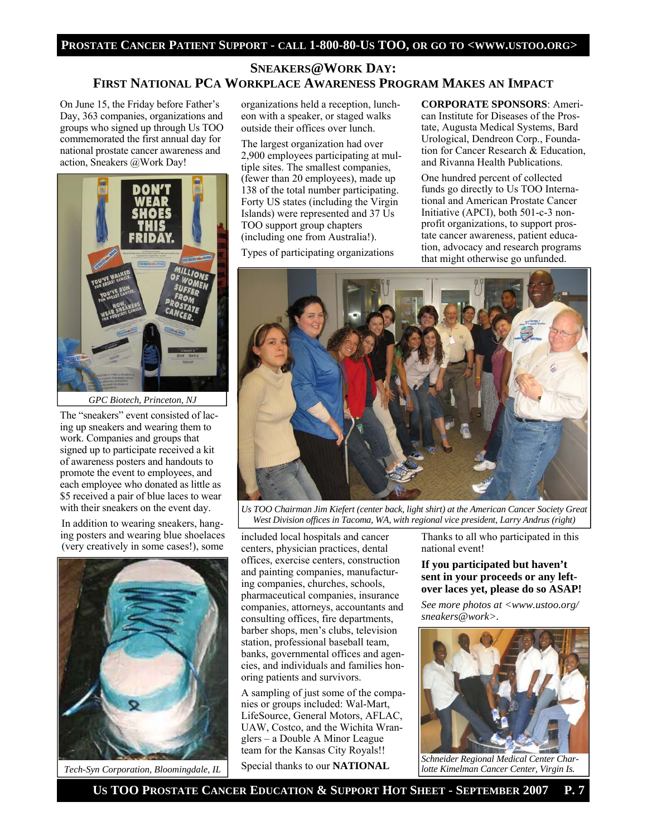#### **PROSTATE CANCER PATIENT SUPPORT - CALL 1-800-80-US TOO, OR GO TO <WWW.USTOO.ORG>**

## **SNEAKERS@WORK DAY: FIRST NATIONAL PCA WORKPLACE AWARENESS PROGRAM MAKES AN IMPACT**

On June 15, the Friday before Father's Day, 363 companies, organizations and groups who signed up through Us TOO commemorated the first annual day for national prostate cancer awareness and action, Sneakers @Work Day!



*GPC Biotech, Princeton, NJ* 

The "sneakers" event consisted of lacing up sneakers and wearing them to work. Companies and groups that signed up to participate received a kit of awareness posters and handouts to promote the event to employees, and each employee who donated as little as \$5 received a pair of blue laces to wear with their sneakers on the event day.

In addition to wearing sneakers, hanging posters and wearing blue shoelaces (very creatively in some cases!), some



*Tech-Syn Corporation, Bloomingdale, IL*

organizations held a reception, luncheon with a speaker, or staged walks outside their offices over lunch.

The largest organization had over 2,900 employees participating at multiple sites. The smallest companies, (fewer than 20 employees), made up 138 of the total number participating. Forty US states (including the Virgin Islands) were represented and 37 Us TOO support group chapters (including one from Australia!).

Types of participating organizations

**CORPORATE SPONSORS**: American Institute for Diseases of the Prostate, Augusta Medical Systems, Bard Urological, Dendreon Corp., Foundation for Cancer Research & Education, and Rivanna Health Publications.

One hundred percent of collected funds go directly to Us TOO International and American Prostate Cancer Initiative (APCI), both 501-c-3 nonprofit organizations, to support prostate cancer awareness, patient education, advocacy and research programs that might otherwise go unfunded.



*Us TOO Chairman Jim Kiefert (center back, light shirt) at the American Cancer Society Great West Division offices in Tacoma, WA, with regional vice president, Larry Andrus (right)* 

included local hospitals and cancer centers, physician practices, dental offices, exercise centers, construction and painting companies, manufacturing companies, churches, schools, pharmaceutical companies, insurance companies, attorneys, accountants and consulting offices, fire departments, barber shops, men's clubs, television station, professional baseball team, banks, governmental offices and agencies, and individuals and families honoring patients and survivors.

A sampling of just some of the companies or groups included: Wal-Mart, LifeSource, General Motors, AFLAC, UAW, Costco, and the Wichita Wranglers – a Double A Minor League team for the Kansas City Royals!!

Special thanks to our **NATIONAL** 

Thanks to all who participated in this national event!

#### **If you participated but haven't sent in your proceeds or any leftover laces yet, please do so ASAP!**

*See more photos at <www.ustoo.org/ sneakers@work>.* 



*Schneider Regional Medical Center Charlotte Kimelman Cancer Center, Virgin Is.*